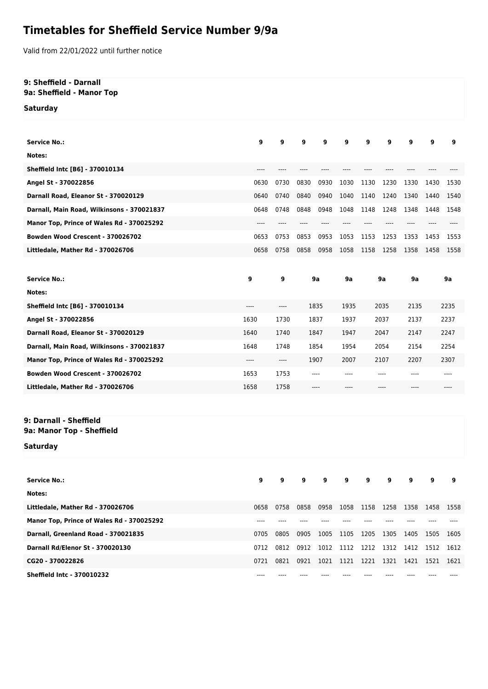## **Timetables for Sheffield Service Number 9/9a**

Valid from 22/01/2022 until further notice

## **9: Sheffield - Darnall 9a: Sheffield - Manor Top**

**Saturday**

| <b>Service No.:</b>                                 | 9     | 9                                                    | 9    | 9    | 9    | 9    | 9     | 9            | 9    | 9    |
|-----------------------------------------------------|-------|------------------------------------------------------|------|------|------|------|-------|--------------|------|------|
| Notes:                                              |       |                                                      |      |      |      |      |       |              |      |      |
| Sheffield Intc [B6] - 370010134                     | $---$ |                                                      |      |      |      |      |       |              |      |      |
| Angel St - 370022856                                | 0630  | 0730                                                 | 0830 | 0930 | 1030 | 1130 | 1230  | 1330         | 1430 | 1530 |
| Darnall Road, Eleanor St - 370020129                | 0640  | 0740                                                 | 0840 | 0940 | 1040 | 1140 | 1240  | 1340         | 1440 | 1540 |
| Darnall, Main Road, Wilkinsons - 370021837          | 0648  | 0748                                                 | 0848 | 0948 | 1048 | 1148 | 1248  | 1348         | 1448 | 1548 |
| Manor Top, Prince of Wales Rd - 370025292           | $---$ | ----                                                 | ---- | ---- | ---- | ---- | $---$ | ----         | ---- | ---- |
| Bowden Wood Crescent - 370026702                    | 0653  | 0753                                                 | 0853 | 0953 | 1053 | 1153 | 1253  | 1353         | 1453 | 1553 |
| Littledale, Mather Rd - 370026706                   | 0658  | 0758                                                 | 0858 | 0958 | 1058 | 1158 | 1258  | 1358         | 1458 | 1558 |
|                                                     |       |                                                      |      |      |      |      |       |              |      |      |
| <b>Service No.:</b>                                 | 9     | 9                                                    |      | 9a   | 9a   |      | 9a    | 9a           |      | 9a   |
| Notes:                                              |       |                                                      |      |      |      |      |       |              |      |      |
| Sheffield Intc [B6] - 370010134                     | ----  | $-----$                                              | 1835 |      | 1935 | 2035 |       | 2135<br>2235 |      |      |
| Angel St - 370022856                                | 1630  | 1730                                                 |      | 1837 | 1937 |      | 2037  | 2137         |      | 2237 |
| Darnall Road, Eleanor St - 370020129                | 1640  | 1740                                                 |      | 1847 | 1947 |      | 2047  | 2147         |      | 2247 |
| Darnall, Main Road, Wilkinsons - 370021837          | 1648  | 1748                                                 |      | 1854 | 1954 |      | 2054  | 2154         |      | 2254 |
| Manor Top, Prince of Wales Rd - 370025292           | ----  | $\hspace{0.05cm}\rule{0.7pt}{0.1ex}\hspace{0.025cm}$ |      | 1907 | 2007 |      | 2107  | 2207         |      | 2307 |
| Bowden Wood Crescent - 370026702                    | 1653  | 1753                                                 | ---- |      | ---- | ---- |       | ----         |      |      |
| Littledale, Mather Rd - 370026706                   | 1658  | 1758                                                 | ---- |      |      |      |       |              |      |      |
|                                                     |       |                                                      |      |      |      |      |       |              |      |      |
| 9: Darnall - Sheffield<br>9a: Manor Top - Sheffield |       |                                                      |      |      |      |      |       |              |      |      |
| Saturday                                            |       |                                                      |      |      |      |      |       |              |      |      |
| <b>Service No.:</b>                                 | 9     | 9                                                    | 9    | 9    | 9    | 9    | 9     | 9            | 9    | 9    |
| Notes:                                              |       |                                                      |      |      |      |      |       |              |      |      |
| Littledale, Mather Rd - 370026706                   | 0658  | 0758                                                 | 0858 | 0958 | 1058 | 1158 | 1258  | 1358         | 1458 | 1558 |
| Manor Top, Prince of Wales Rd - 370025292           | $---$ | ----                                                 |      |      |      |      |       |              |      |      |
| Darnall, Greenland Road - 370021835                 | 0705  | 0805                                                 | 0905 | 1005 | 1105 | 1205 | 1305  | 1405         | 1505 | 1605 |
| Darnall Rd/Elenor St - 370020130                    | 0712  | 0812                                                 | 0912 | 1012 | 1112 | 1212 | 1312  | 1412         | 1512 | 1612 |
| CG20 - 370022826                                    | 0721  | 0821                                                 | 0921 | 1021 | 1121 | 1221 | 1321  | 1421         | 1521 | 1621 |
| <b>Sheffield Intc - 370010232</b>                   |       |                                                      |      |      |      |      |       |              |      |      |
|                                                     |       |                                                      |      |      |      |      |       |              |      |      |